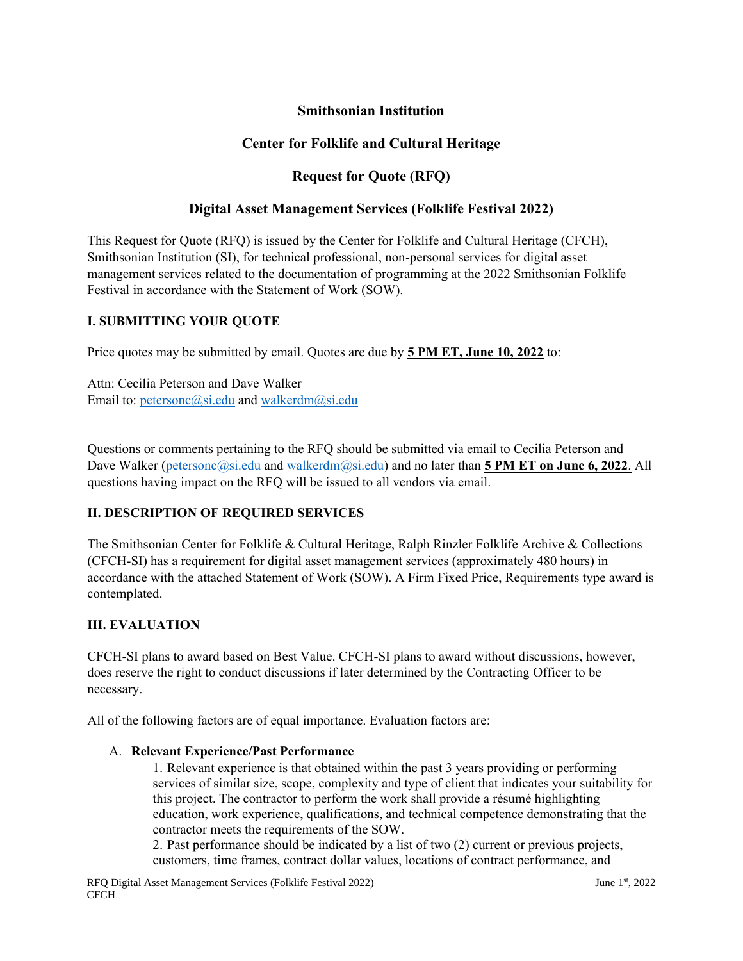## **Smithsonian Institution**

## **Center for Folklife and Cultural Heritage**

## **Request for Quote (RFQ)**

#### **Digital Asset Management Services (Folklife Festival 2022)**

This Request for Quote (RFQ) is issued by the Center for Folklife and Cultural Heritage (CFCH), Smithsonian Institution (SI), for technical professional, non-personal services for digital asset management services related to the documentation of programming at the 2022 Smithsonian Folklife Festival in accordance with the Statement of Work (SOW).

#### **I. SUBMITTING YOUR QUOTE**

Price quotes may be submitted by email. Quotes are due by **5 PM ET, June 10, 2022** to:

Attn: Cecilia Peterson and Dave Walker Email to: [petersonc@si.edu](mailto:petesonc@si.edu) and [walkerdm@si.edu](mailto:walkerdm@si.edu)

Questions or comments pertaining to the RFQ should be submitted via email to Cecilia Peterson and Dave Walker [\(petersonc@si.edu](mailto:petesonc@si.edu) and [walkerdm@si.edu\)](mailto:walkerdm@si.edu) and no later than **5 PM ET on June 6, 2022**. All questions having impact on the RFQ will be issued to all vendors via email.

#### **II. DESCRIPTION OF REQUIRED SERVICES**

The Smithsonian Center for Folklife & Cultural Heritage, Ralph Rinzler Folklife Archive & Collections (CFCH-SI) has a requirement for digital asset management services (approximately 480 hours) in accordance with the attached Statement of Work (SOW). A Firm Fixed Price, Requirements type award is contemplated.

#### **III. EVALUATION**

CFCH-SI plans to award based on Best Value. CFCH-SI plans to award without discussions, however, does reserve the right to conduct discussions if later determined by the Contracting Officer to be necessary.

All of the following factors are of equal importance. Evaluation factors are:

#### A. **Relevant Experience/Past Performance**

1. Relevant experience is that obtained within the past 3 years providing or performing services of similar size, scope, complexity and type of client that indicates your suitability for this project. The contractor to perform the work shall provide a résumé highlighting education, work experience, qualifications, and technical competence demonstrating that the contractor meets the requirements of the SOW.

2. Past performance should be indicated by a list of two (2) current or previous projects, customers, time frames, contract dollar values, locations of contract performance, and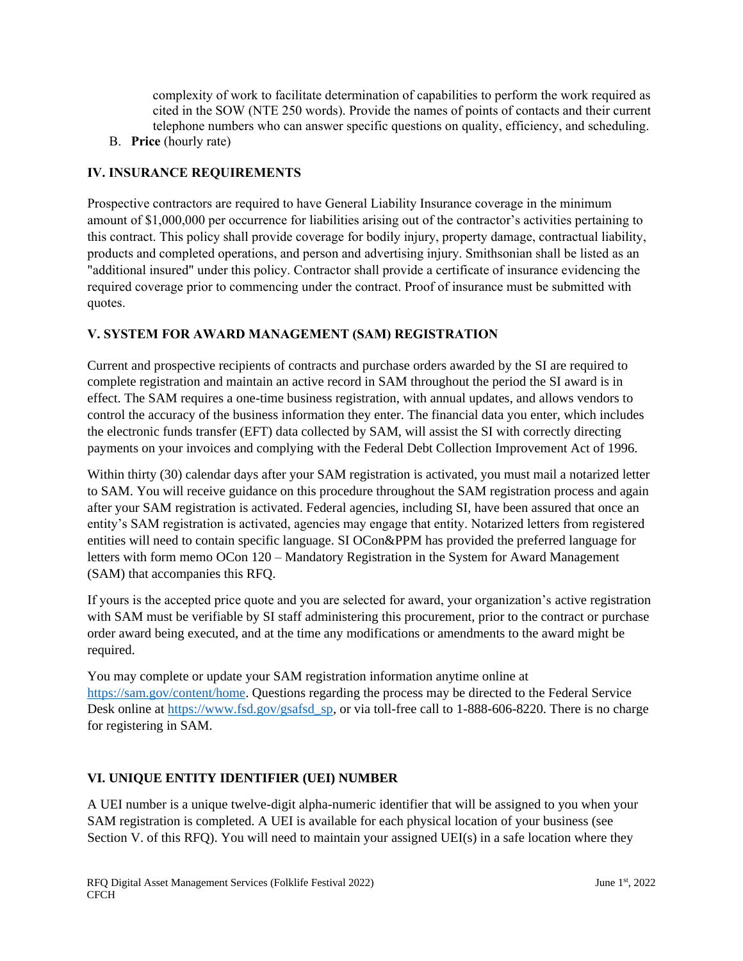complexity of work to facilitate determination of capabilities to perform the work required as cited in the SOW (NTE 250 words). Provide the names of points of contacts and their current telephone numbers who can answer specific questions on quality, efficiency, and scheduling.

B. **Price** (hourly rate)

# **IV. INSURANCE REQUIREMENTS**

Prospective contractors are required to have General Liability Insurance coverage in the minimum amount of \$1,000,000 per occurrence for liabilities arising out of the contractor's activities pertaining to this contract. This policy shall provide coverage for bodily injury, property damage, contractual liability, products and completed operations, and person and advertising injury. Smithsonian shall be listed as an "additional insured" under this policy. Contractor shall provide a certificate of insurance evidencing the required coverage prior to commencing under the contract. Proof of insurance must be submitted with quotes.

# **V. SYSTEM FOR AWARD MANAGEMENT (SAM) REGISTRATION**

Current and prospective recipients of contracts and purchase orders awarded by the SI are required to complete registration and maintain an active record in SAM throughout the period the SI award is in effect. The SAM requires a one-time business registration, with annual updates, and allows vendors to control the accuracy of the business information they enter. The financial data you enter, which includes the electronic funds transfer (EFT) data collected by SAM, will assist the SI with correctly directing payments on your invoices and complying with the Federal Debt Collection Improvement Act of 1996.

Within thirty (30) calendar days after your SAM registration is activated, you must mail a notarized letter to SAM. You will receive guidance on this procedure throughout the SAM registration process and again after your SAM registration is activated. Federal agencies, including SI, have been assured that once an entity's SAM registration is activated, agencies may engage that entity. Notarized letters from registered entities will need to contain specific language. SI OCon&PPM has provided the preferred language for letters with form memo OCon 120 – Mandatory Registration in the System for Award Management (SAM) that accompanies this RFQ.

If yours is the accepted price quote and you are selected for award, your organization's active registration with SAM must be verifiable by SI staff administering this procurement, prior to the contract or purchase order award being executed, and at the time any modifications or amendments to the award might be required.

You may complete or update your SAM registration information anytime online at [https://sam.gov/content/home.](https://sam.gov/content/home) Questions regarding the process may be directed to the Federal Service Desk online at [https://www.fsd.gov/gsafsd\\_sp,](https://www.fsd.gov/gsafsd_sp) or via toll-free call to 1-888-606-8220. There is no charge for registering in SAM.

# **VI. UNIQUE ENTITY IDENTIFIER (UEI) NUMBER**

A UEI number is a unique twelve-digit alpha-numeric identifier that will be assigned to you when your SAM registration is completed. A UEI is available for each physical location of your business (see Section V. of this RFQ). You will need to maintain your assigned UEI(s) in a safe location where they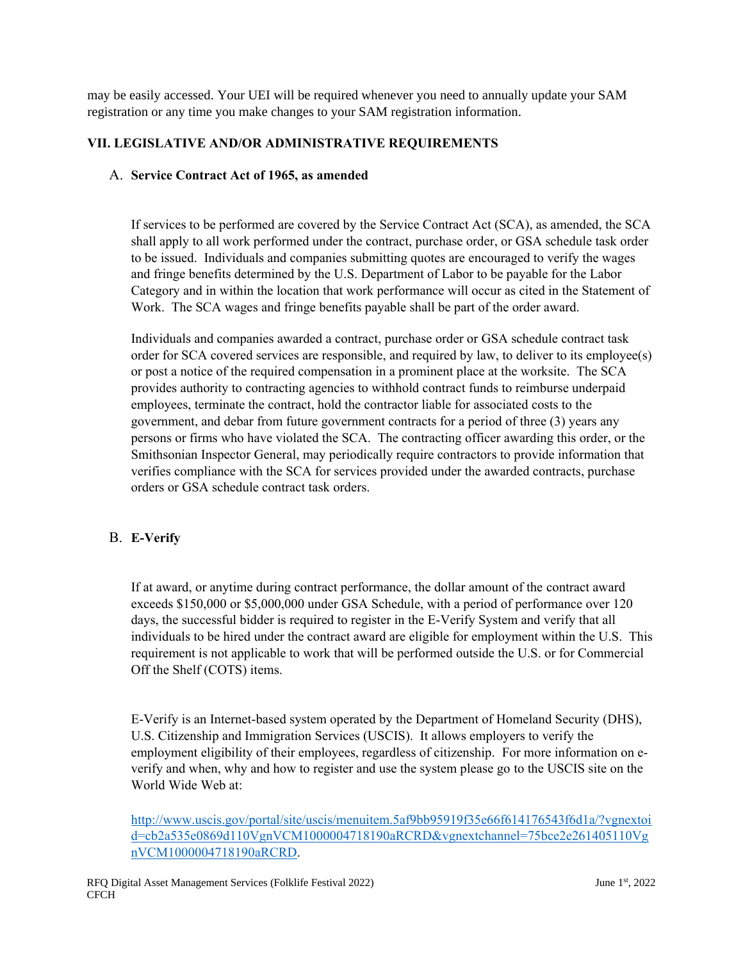may be easily accessed. Your UEI will be required whenever you need to annually update your SAM registration or any time you make changes to your SAM registration information.

## **VII. LEGISLATIVE AND/OR ADMINISTRATIVE REQUIREMENTS**

#### A. **Service Contract Act of 1965, as amended**

If services to be performed are covered by the Service Contract Act (SCA), as amended, the SCA shall apply to all work performed under the contract, purchase order, or GSA schedule task order to be issued. Individuals and companies submitting quotes are encouraged to verify the wages and fringe benefits determined by the U.S. Department of Labor to be payable for the Labor Category and in within the location that work performance will occur as cited in the Statement of Work. The SCA wages and fringe benefits payable shall be part of the order award.

Individuals and companies awarded a contract, purchase order or GSA schedule contract task order for SCA covered services are responsible, and required by law, to deliver to its employee(s) or post a notice of the required compensation in a prominent place at the worksite. The SCA provides authority to contracting agencies to withhold contract funds to reimburse underpaid employees, terminate the contract, hold the contractor liable for associated costs to the government, and debar from future government contracts for a period of three (3) years any persons or firms who have violated the SCA. The contracting officer awarding this order, or the Smithsonian Inspector General, may periodically require contractors to provide information that verifies compliance with the SCA for services provided under the awarded contracts, purchase orders or GSA schedule contract task orders.

#### B. **E-Verify**

If at award, or anytime during contract performance, the dollar amount of the contract award exceeds \$150,000 or \$5,000,000 under GSA Schedule, with a period of performance over 120 days, the successful bidder is required to register in the E-Verify System and verify that all individuals to be hired under the contract award are eligible for employment within the U.S. This requirement is not applicable to work that will be performed outside the U.S. or for Commercial Off the Shelf (COTS) items.

E-Verify is an Internet-based system operated by the Department of Homeland Security (DHS), U.S. Citizenship and Immigration Services (USCIS). It allows employers to verify the employment eligibility of their employees, regardless of citizenship. For more information on everify and when, why and how to register and use the system please go to the USCIS site on the World Wide Web at:

[http://www.uscis.gov/portal/site/uscis/menuitem.5af9bb95919f35e66f614176543f6d1a/?vgnextoi](http://www.uscis.gov/portal/site/uscis/menuitem.5af9bb95919f35e66f614176543f6d1a/?vgnextoid=cb2a535e0869d110VgnVCM1000004718190aRCRD&vgnextchannel=75bce2e261405110VgnVCM1000004718190aRCRD) [d=cb2a535e0869d110VgnVCM1000004718190aRCRD&vgnextchannel=75bce2e261405110Vg](http://www.uscis.gov/portal/site/uscis/menuitem.5af9bb95919f35e66f614176543f6d1a/?vgnextoid=cb2a535e0869d110VgnVCM1000004718190aRCRD&vgnextchannel=75bce2e261405110VgnVCM1000004718190aRCRD) [nVCM1000004718190aRCRD.](http://www.uscis.gov/portal/site/uscis/menuitem.5af9bb95919f35e66f614176543f6d1a/?vgnextoid=cb2a535e0869d110VgnVCM1000004718190aRCRD&vgnextchannel=75bce2e261405110VgnVCM1000004718190aRCRD)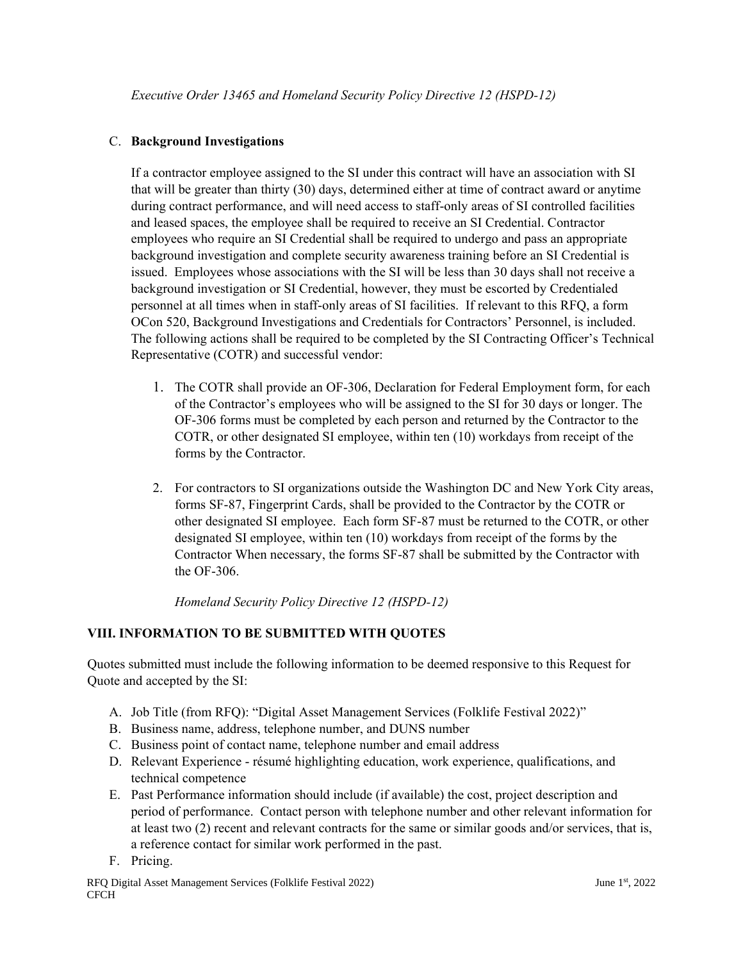### C. **Background Investigations**

If a contractor employee assigned to the SI under this contract will have an association with SI that will be greater than thirty (30) days, determined either at time of contract award or anytime during contract performance, and will need access to staff-only areas of SI controlled facilities and leased spaces, the employee shall be required to receive an SI Credential. Contractor employees who require an SI Credential shall be required to undergo and pass an appropriate background investigation and complete security awareness training before an SI Credential is issued. Employees whose associations with the SI will be less than 30 days shall not receive a background investigation or SI Credential, however, they must be escorted by Credentialed personnel at all times when in staff-only areas of SI facilities. If relevant to this RFQ, a form OCon 520, Background Investigations and Credentials for Contractors' Personnel, is included. The following actions shall be required to be completed by the SI Contracting Officer's Technical Representative (COTR) and successful vendor:

- 1. The COTR shall provide an OF-306, Declaration for Federal Employment form, for each of the Contractor's employees who will be assigned to the SI for 30 days or longer. The OF-306 forms must be completed by each person and returned by the Contractor to the COTR, or other designated SI employee, within ten (10) workdays from receipt of the forms by the Contractor.
- 2. For contractors to SI organizations outside the Washington DC and New York City areas, forms SF-87, Fingerprint Cards, shall be provided to the Contractor by the COTR or other designated SI employee. Each form SF-87 must be returned to the COTR, or other designated SI employee, within ten (10) workdays from receipt of the forms by the Contractor When necessary, the forms SF-87 shall be submitted by the Contractor with the OF-306.

*Homeland Security Policy Directive 12 (HSPD-12)*

# **VIII. INFORMATION TO BE SUBMITTED WITH QUOTES**

Quotes submitted must include the following information to be deemed responsive to this Request for Quote and accepted by the SI:

- A. Job Title (from RFQ): "Digital Asset Management Services (Folklife Festival 2022)"
- B. Business name, address, telephone number, and DUNS number
- C. Business point of contact name, telephone number and email address
- D. Relevant Experience résumé highlighting education, work experience, qualifications, and technical competence
- E. Past Performance information should include (if available) the cost, project description and period of performance. Contact person with telephone number and other relevant information for at least two (2) recent and relevant contracts for the same or similar goods and/or services, that is, a reference contact for similar work performed in the past.
- F. Pricing.